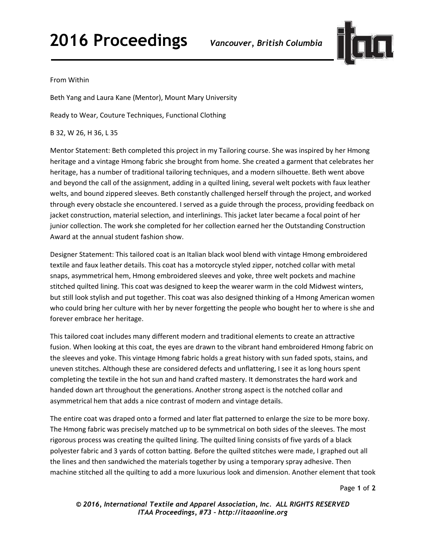## **2016 Proceedings** *Vancouver, British Columbia*



## From Within

Beth Yang and Laura Kane (Mentor), Mount Mary University

Ready to Wear, Couture Techniques, Functional Clothing

B 32, W 26, H 36, L 35

Mentor Statement: Beth completed this project in my Tailoring course. She was inspired by her Hmong heritage and a vintage Hmong fabric she brought from home. She created a garment that celebrates her heritage, has a number of traditional tailoring techniques, and a modern silhouette. Beth went above and beyond the call of the assignment, adding in a quilted lining, several welt pockets with faux leather welts, and bound zippered sleeves. Beth constantly challenged herself through the project, and worked through every obstacle she encountered. I served as a guide through the process, providing feedback on jacket construction, material selection, and interlinings. This jacket later became a focal point of her junior collection. The work she completed for her collection earned her the Outstanding Construction Award at the annual student fashion show.

Designer Statement: This tailored coat is an Italian black wool blend with vintage Hmong embroidered textile and faux leather details. This coat has a motorcycle styled zipper, notched collar with metal snaps, asymmetrical hem, Hmong embroidered sleeves and yoke, three welt pockets and machine stitched quilted lining. This coat was designed to keep the wearer warm in the cold Midwest winters, but still look stylish and put together. This coat was also designed thinking of a Hmong American women who could bring her culture with her by never forgetting the people who bought her to where is she and forever embrace her heritage.

This tailored coat includes many different modern and traditional elements to create an attractive fusion. When looking at this coat, the eyes are drawn to the vibrant hand embroidered Hmong fabric on the sleeves and yoke. This vintage Hmong fabric holds a great history with sun faded spots, stains, and uneven stitches. Although these are considered defects and unflattering, I see it as long hours spent completing the textile in the hot sun and hand crafted mastery. It demonstrates the hard work and handed down art throughout the generations. Another strong aspect is the notched collar and asymmetrical hem that adds a nice contrast of modern and vintage details.

The entire coat was draped onto a formed and later flat patterned to enlarge the size to be more boxy. The Hmong fabric was precisely matched up to be symmetrical on both sides of the sleeves. The most rigorous process was creating the quilted lining. The quilted lining consists of five yards of a black polyester fabric and 3 yards of cotton batting. Before the quilted stitches were made, I graphed out all the lines and then sandwiched the materials together by using a temporary spray adhesive. Then machine stitched all the quilting to add a more luxurious look and dimension. Another element that took

Page **1** of **2** 

*© 2016, International Textile and Apparel Association, Inc. ALL RIGHTS RESERVED ITAA Proceedings, #73 – http://itaaonline.org*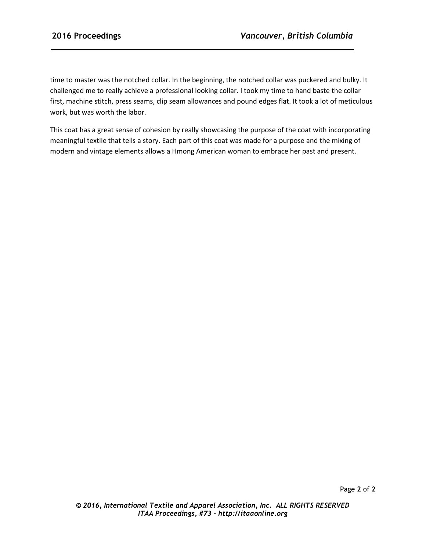time to master was the notched collar. In the beginning, the notched collar was puckered and bulky. It challenged me to really achieve a professional looking collar. I took my time to hand baste the collar first, machine stitch, press seams, clip seam allowances and pound edges flat. It took a lot of meticulous work, but was worth the labor.

This coat has a great sense of cohesion by really showcasing the purpose of the coat with incorporating meaningful textile that tells a story. Each part of this coat was made for a purpose and the mixing of modern and vintage elements allows a Hmong American woman to embrace her past and present.